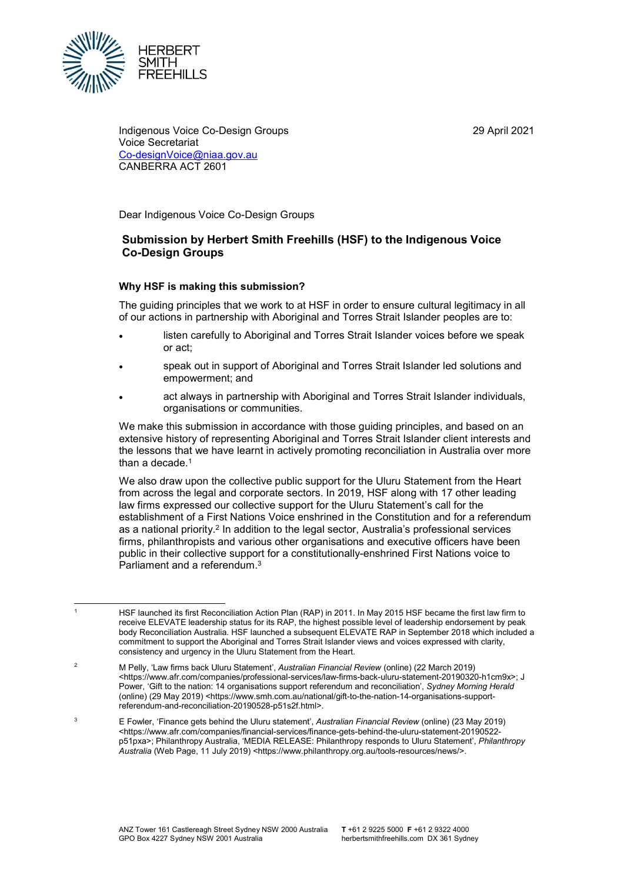29 April 2021



 Indigenous Voice Co-Design Groups 29 April 2021 <u>Co-designVoice@niaa.gov.au</u><br>CANBERRA ACT 2601 CANBERRA ACT 2601 Voice Secretariat

Dear Indigenous Voice Co-Design Groups

# Submission by Herbert Smith Freehills (HSF) to the Indigenous Voice Co-Design Groups

## Why HSF is making this submission?

 The guiding principles that we work to at HSF in order to ensure cultural legitimacy in all of our actions in partnership with Aboriginal and Torres Strait Islander peoples are to:

- listen carefully to Aboriginal and Torres Strait Islander voices before we speak or act;
- speak out in support of Aboriginal and Torres Strait Islander led solutions and empowerment; and
- act always in partnership with Aboriginal and Torres Strait Islander individuals, organisations or communities.

 We make this submission in accordance with those guiding principles, and based on an extensive history of representing Aboriginal and Torres Strait Islander client interests and the lessons that we have learnt in actively promoting reconciliation in Australia over more than a decade. $^1$ 

 We also draw upon the collective public support for the Uluru Statement from the Heart from across the legal and corporate sectors. In 2019, HSF along with 17 other leading law firms expressed our collective support for the Uluru Statement's call for the establishment of a First Nations Voice enshrined in the Constitution and for a referendum as a national priority.<sup>2</sup> In addition to the legal sector, Australia's professional services firms, philanthropists and various other organisations and executive officers have been public in their collective support for a constitutionally-enshrined First Nations voice to Parliament and a referendum.<sup>3</sup>

<sup>1</sup>  receive ELEVATE leadership status for its RAP, the highest possible level of leadership endorsement by peak body Reconciliation Australia. HSF launched a subsequent ELEVATE RAP in September 2018 which included a commitment to support the Aboriginal and Torres Strait Islander views and voices expressed with clarity, consistency and urgency in the Uluru Statement from the Heart. HSF launched its first Reconciliation Action Plan (RAP) in 2011. In May 2015 HSF became the first law firm to

 <https://www.afr.com/companies/professional-services/law-firms-back-uluru-statement-20190320-h1cm9x>; J Power, 'Gift to the nation: 14 organisations support referendum and reconciliation', Sydney Morning Herald (online) (29 May 2019) <https://www.smh.com.au/national/gift-to-the-nation-14-organisations-support-M Pelly, 'Law firms back Uluru Statement', Australian Financial Review (online) (22 March 2019) referendum-and-reconciliation-20190528-p51s2f.html>.

 $\overline{\mathbf{a}}$ p51pxa>; Philanthropy Australia, 'MEDIA RELEASE: Philanthropy responds to Uluru Statement', Philanthropy Australia (Web Page, 11 July 2019) <https://www.philanthropy.org.au/tools-resources/news/>. E Fowler, 'Finance gets behind the Uluru statement', Australian Financial Review (online) (23 May 2019) <https://www.afr.com/companies/financial-services/finance-gets-behind-the-uluru-statement-20190522-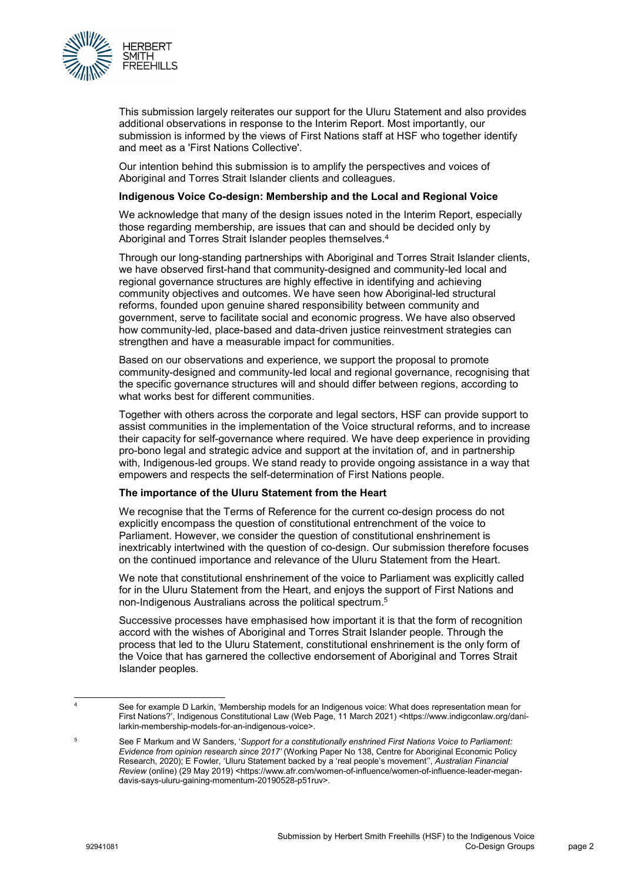

 This submission largely reiterates our support for the Uluru Statement and also provides additional observations in response to the Interim Report. Most importantly, our submission is informed by the views of First Nations staff at HSF who together identify and meet as a 'First Nations Collective'.

 Our intention behind this submission is to amplify the perspectives and voices of Aboriginal and Torres Strait Islander clients and colleagues.

#### Indigenous Voice Co-design: Membership and the Local and Regional Voice

 We acknowledge that many of the design issues noted in the Interim Report, especially those regarding membership, are issues that can and should be decided only by Aboriginal and Torres Strait Islander peoples themselves.<sup>4</sup>

 Through our long-standing partnerships with Aboriginal and Torres Strait Islander clients, we have observed first-hand that community-designed and community-led local and regional governance structures are highly effective in identifying and achieving community objectives and outcomes. We have seen how Aboriginal-led structural reforms, founded upon genuine shared responsibility between community and government, serve to facilitate social and economic progress. We have also observed how community-led, place-based and data-driven justice reinvestment strategies can strengthen and have a measurable impact for communities.

 Based on our observations and experience, we support the proposal to promote community-designed and community-led local and regional governance, recognising that the specific governance structures will and should differ between regions, according to what works best for different communities.

 Together with others across the corporate and legal sectors, HSF can provide support to assist communities in the implementation of the Voice structural reforms, and to increase their capacity for self-governance where required. We have deep experience in providing pro-bono legal and strategic advice and support at the invitation of, and in partnership with, Indigenous-led groups. We stand ready to provide ongoing assistance in a way that empowers and respects the self-determination of First Nations people.

### The importance of the Uluru Statement from the Heart

 We recognise that the Terms of Reference for the current co-design process do not explicitly encompass the question of constitutional entrenchment of the voice to Parliament. However, we consider the question of constitutional enshrinement is inextricably intertwined with the question of co-design. Our submission therefore focuses on the continued importance and relevance of the Uluru Statement from the Heart.

 We note that constitutional enshrinement of the voice to Parliament was explicitly called for in the Uluru Statement from the Heart, and enjoys the support of First Nations and non-Indigenous Australians across the political spectrum.5

 Successive processes have emphasised how important it is that the form of recognition accord with the wishes of Aboriginal and Torres Strait Islander people. Through the process that led to the Uluru Statement, constitutional enshrinement is the only form of the Voice that has garnered the collective endorsement of Aboriginal and Torres Strait Islander peoples.

1

 First Nations?', Indigenous Constitutional Law (Web Page, 11 March 2021) <https://www.indigconlaw.org/dani-See for example D Larkin, 'Membership models for an Indigenous voice: What does representation mean for larkin-membership-models-for-an-indigenous-voice>.

Research, 2020); E Fowler, 'Uluru Statement backed by a 'real people's movement'', Australian Financial Review (online) (29 May 2019) <https://www.afr.com/women-of-influence/women-of-influence-leader-megandavis-says-uluru-gaining-momentum-20190528-p51ruv>. <sup>5</sup> See F Markum and W Sanders, 'Support for a constitutionally enshrined First Nations Voice to Parliament: Evidence from opinion research since 2017' (Working Paper No 138, Centre for Aboriginal Economic Policy davis-says-uluru-gaining-momentum-20190528-p51ruv>.<br>Submission by Herbert Smith Freehills (HSF) to the Indigenous Voice